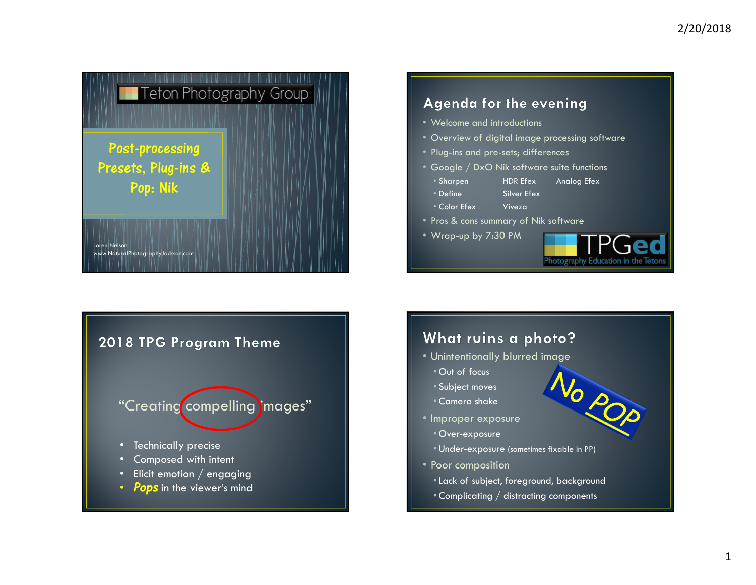

### **Agenda for the evening**

- Welcome and introductions
- Overview of digital image processing software
- Plug-ins and pre-sets; differences
- Google / DxO Nik software suite functions
- Sharpen • Define
- HDR Efex Analog Efex
- Color Efex
- Silver Efex<br><u>Vi</u>veza
- Color Efex Viveza Pros & cons summary of Nik software
- Wrap-up by 7:30 PM



No POP

# 2018 TPG Program Theme

# "Creating compelling images"

- •Technically precise
- Composed with intent  $\Box$
- $\Box$ Elicit emotion / engaging
- Pops in the viewer's mind  $\blacksquare$

### What ruins a photo?

- Unintentionally blurred image
	- Out of focus
	- Subject moves
	- Camera shake
- Improper exposure
	- Over-exposure
	- Under-exposure (sometimes fixable in PP)
- Poor composition
	- •Lack of subject, foreground, background
	- $\bullet$  Complicating  $/$  distracting components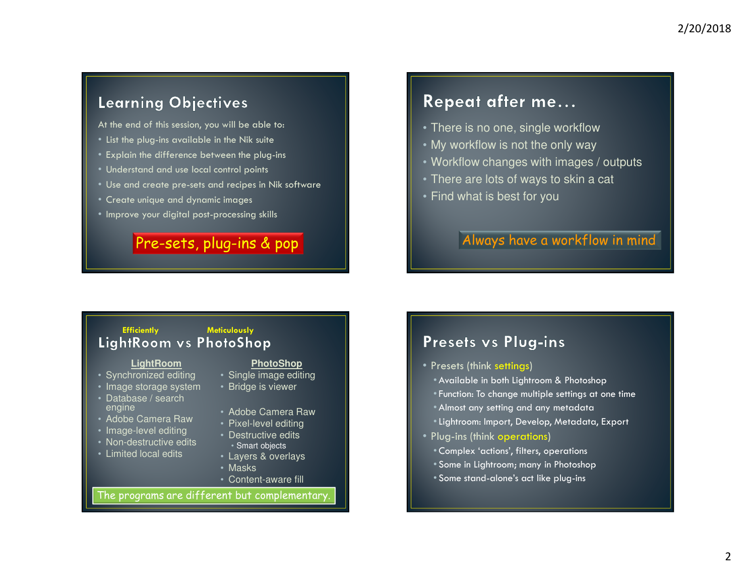## **Learning Objectives**

At the end of this session, you will be able to:

- List the plug-ins available in the Nik suite
- Explain the difference between the plug-ins
- Understand and use local control points
- Use and create pre-sets and recipes in Nik software
- Create unique and dynamic images
- Improve your digital post-processing skills

## Pre-sets, plug-ins & pop

# Repeat after me...

- There is no one, single workflow
- My workflow is not the only way
- Workflow changes with images / outputs
- There are lots of ways to skin a cat
- Find what is best for you

## Always have a workflow in mind

# Efficiently Meticulously<br>LightRoom vs PhotoShop

#### **LightRoom**

- Synchronized editing
- Image storage system
- Database / search engine
- Adobe Camera Raw
- Image-level editing
- Non-destructive edits
- Limited local edits

#### **PhotoShop**

- Single image editing
- Bridge is viewer
- Adobe Camera Raw
- Pixel-level editing
- Destructive edits
- Smart objects
- Layers & overlays
- Masks
- Content-aware fill

#### The programs are different but complementary.

### Presets vs Plug-ins

- Presets (think settings)
	- Available in both Lightroom & Photoshop
	- Function: To change multiple settings at one time
	- Almost any setting and any metadata
	- •Lightroom: Import, Develop, Metadata, Export
- Plug-ins (think operations)
	- Complex 'actions', filters, operations
- Some in Lightroom; many in Photoshop
- Some stand-alone's act like plug-ins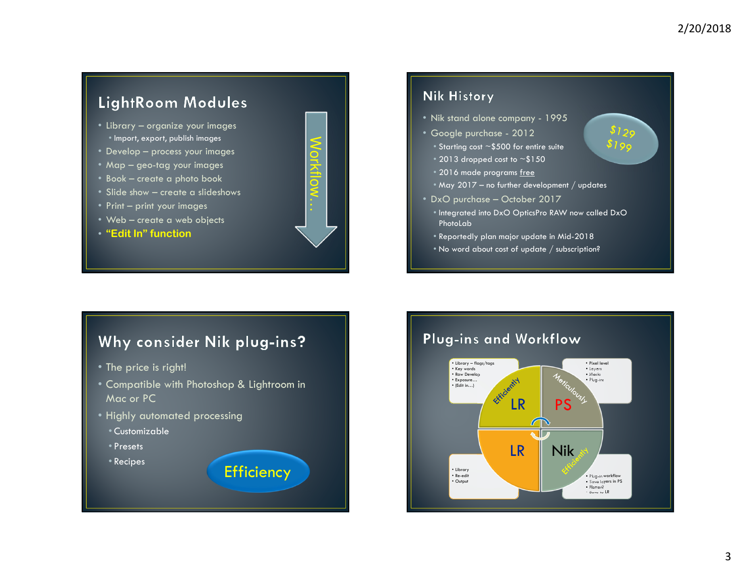29 ا ھ

# LightRoom Modules

- Library organize your images • Import, export, publish images
- Develop process your images
- Map geo-tag your images
- Book create a photo book
- Slide show create a slideshows<br>• <sup>Drint</sup> print vour images
- Print print your images
- Web create a web objects<br>• "Fait In" function
- "Edit In" function



#### **Nik History**

- Nik stand alone company <sup>1995</sup>
- Google purchase <sup>2012</sup>
- $\degree$  Starting cost  $\sim$  \$500 for entire suite
- $\degree$  2013 dropped cost to  $\sim$ \$150
- 2016 made programs <u>free</u>
- May 2017 no further development / updates

• DxO purchase – October 2017

- Integrated into DxO OpticsPro RAW now called DxO PhotoLab
- Reportedly plan major update in Mid-2018
- $\bullet$  No word about cost of update  $/$  subscription?

# Why consider Nik plug-ins?

- The price is right!
- Compatible with Photoshop & Lightroom in Mac or PC

Efficiency

- Highly automated processing
- Customizable
- Presets
- Recipes

## Plug-ins and Workflow

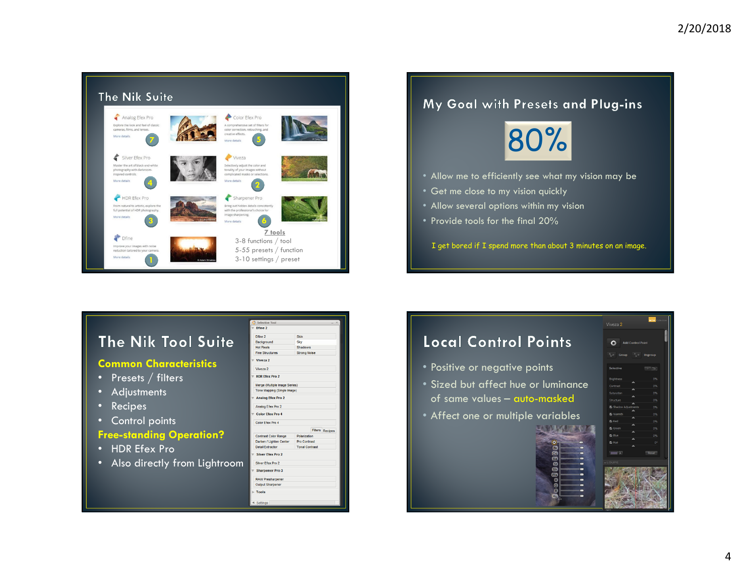

#### My Goal with Presets and Plug-ins



- Allow me to efficiently see what my vision may be
- Get me close to my vision quickly
- Allow several options within my vision
- Provide tools for the final 20%

I get bored if I spend more than about 3 minutes on an image.

# The Nik Tool Suite

#### Common Characteristics

- Presets / filters
- Adjustments
- Recipes
- Control points

#### Free-standing Operation?

- HDR Efex Pro
- Also directly from Lightroom

| <b>PERCHAE TOOL</b>           |                       |  |                        |  |
|-------------------------------|-----------------------|--|------------------------|--|
| Dfine 2                       |                       |  |                        |  |
| Dfine 2                       | Skin                  |  |                        |  |
| Background                    | Sky                   |  |                        |  |
| <b>Hot Pixels</b>             | Shadows               |  |                        |  |
| <b>Fine Structures</b>        | <b>Strong Noise</b>   |  |                        |  |
| Viveza 2                      |                       |  |                        |  |
| Viveza <sub>2</sub>           |                       |  |                        |  |
| <b>HDR Efex Pro 2</b>         |                       |  |                        |  |
| Merge (Multiple Image Series) |                       |  |                        |  |
| Tone Mapping (Single Image)   |                       |  |                        |  |
| <b>Analog Efex Pro 2</b>      |                       |  |                        |  |
| Analog Efex Pro 2             |                       |  |                        |  |
| <b>Color Efex Pro 4</b>       |                       |  |                        |  |
| Color Efex Pro 4              |                       |  |                        |  |
|                               |                       |  | <b>Filters Recipes</b> |  |
| <b>Contrast Color Range</b>   | Polarization          |  |                        |  |
| Darken / Lighten Center       | <b>Pro Contrast</b>   |  |                        |  |
| <b>Detail Extractor</b>       | <b>Tonal Contrast</b> |  |                        |  |
| <b>Silver Efex Pro 2</b>      |                       |  |                        |  |
| Silver Efex Pro 2             |                       |  |                        |  |
| <b>Sharpener Pro 3</b>        |                       |  |                        |  |
| <b>RAW Presharpener</b>       |                       |  |                        |  |
| <b>Output Sharpener</b>       |                       |  |                        |  |
| <b>Tools</b>                  |                       |  |                        |  |
| Settings                      |                       |  |                        |  |

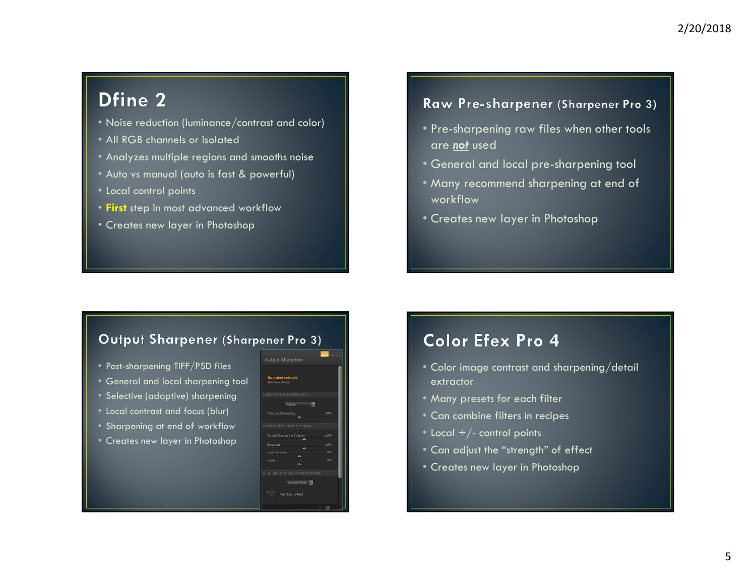# Dfine 2

- Noise reduction (luminance/contrast and color)
- All RGB channels or isolated
- Analyzes multiple regions and smooths noise
- Auto vs manual (auto is fast & powerful)
- Local control points
- First step in most advanced workflow
- Creates new layer in Photoshop

### Raw Pre-sharpener (Sharpener Pro 3)

- Pre-sharpening raw files when other tools are <u>not</u> used
- General and local pre-sharpening tool
- Many recommend sharpening at end of workflow
- Creates new layer in Photoshop

#### Output Sharpener (Sharpener Pro 3)

- Post-sharpening TIFF/PSD files
- General and local sharpening tool
- Selective (adaptive) sharpening
- Local contrast and focus (blur)
- Sharpening at end of workflow
- Creates new layer in Photoshop



 $\overline{m}$ 

# Color Efex Pro 4

- Color image contrast and sharpening/detail extractor
- Many presets for each filter
- Can combine filters in recipes
- Local +/- control points
- Can adjust the "strength" of effect
- Creates new layer in Photoshop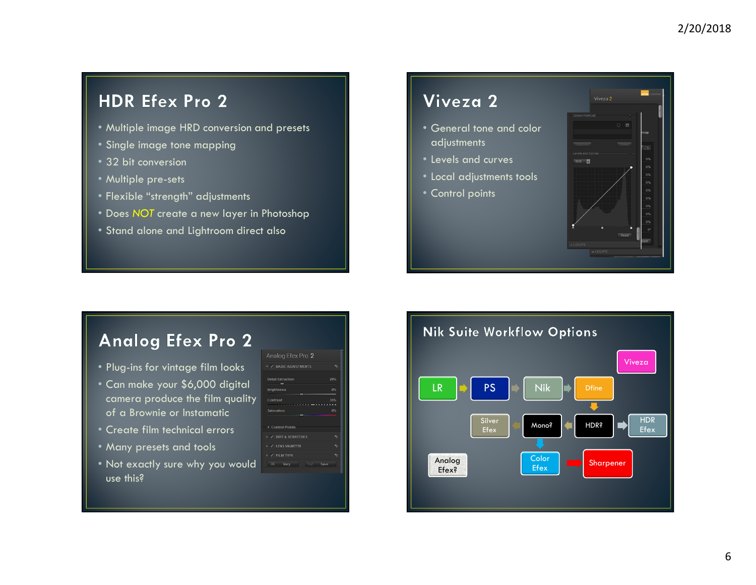# **HDR Efex Pro 2**

- Multiple image HRD conversion and presets
- Single image tone mapping
- 32 bit conversion
- Multiple pre-sets
- Flexible "strength" adjustments
- Does NOT create a new layer in Photoshop
- Stand alone and Lightroom direct also

# Viveza 2

- General tone and color adjustments
- Levels and curves
- Local adjustments tools
- Control points



# **Analog Efex Pro 2**

- Plug-ins for vintage film looks
- Can make your \$6,000 digital camera produce the film quality of a Brownie or Instamatic
- Create film technical errors
- Many presets and tools
- Not exactly sure why you would use this?

| Analog Efex Pro 2                      |            |
|----------------------------------------|------------|
| $\blacktriangledown$ BASIC ADJUSTMENTS |            |
| <b>Detail Extraction</b>               | 20%        |
| <b>Brightness</b>                      | 0%         |
| Contrast                               | 35%        |
| <b>Saturation</b>                      | <b>OBS</b> |
| <b>Control Points</b>                  |            |
| V DIRT & SCRATCHES                     |            |
| V / LENS VIGNETTE                      |            |
| > / FILM TYPE                          |            |
| $Q - \overline{Q}$<br>$x^2$ Vary       | Save       |
|                                        |            |